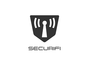

# SECURIFI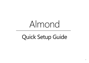# Almond

# Quick Setup Guide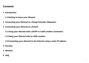# **Contents**

**1 Introduction**

**1.1 Getting to know your Almond**

- **2 Connecting your Almond as a Range Extender (Repeater)**
- **3 Connecting your Almond as a Router**

**3.1 Using your Almond with a DCHP or Cable modem connection**

**3.2 Using your Almond with an xDSL modem**

**3.3 Connecting your Almond to the Internet using a static IP address** 

- **4 Security**
- **5 Wireless**
- **6 FAQ**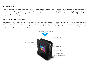## **1. Introduction**

We'd like to congratulate you on the purchase of your Almond, the world's first user friendly touchscreen router. The product you've purchased has been designed with you in mind and we hope you'll enjoy your Almond as much as we do. This quick start guide will help you get on the right track in case you run into some problems during the initial setup of your Almond and it also contains a basic frequently asked questions (FAQ) section. For a complete and up to date FAQ, please visit the Securifi website.

#### **1.1 Getting to know your Almond**

On the front of your Almond you'll find the touchscreen. It's used to configure most of the settings of the Almond. Most of the instructions in this quick start guide will revolve around the touchscreen interface. On the right hand side you'll find three network ports. The grey port should be connected to the internet if you're using your Almond as a router. This might be a via a network cable to a fiber service, to a cable modem, to an xDSL modem or some other kind of device provided by your internet service provider.



300Mbps Wireless Speeds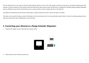The two black ports can be used to connect wired internet devices such as a PC, Mac, games console, set-top-box or just about anything else that requires a wired connection to the internet. Note that these ports also function when the Almond is configured as Wireless Range Extender (Repeater) and as a Wireless Access Point and will allow you to connect wired as well as wireless devices to the Internet.

Just below the network ports you'll find a reset button, a power socket and a slot in which the stylus is located.

The stylus can be used to help you enter information on the touchscreen and it can be particularly useful when it comes to entering passwords and other text during the initial configuration of your Almond.

# **2. Connecting your Almond as a Range Extender (Repeater)**

i. Plug the AC adapter of your Almond into a power outlet.



ii. Please wait for your Almond to power up.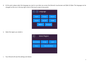iii. At this point, please select the language you want to use when you access the Almond's touchscreen and Web UI (*Note*: The language can be changed via the icon in the top right corner of the touch screen at any point).



iv. Select the region you reside in.



v. Your Almond will save the settings and reboot.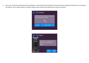vi. Once your Almond has rebooted you'll be greeted by a Setup Wizard that will help you through the basic settings that will get you connected to the internet. Tap on [Start wizard] to continue setting up your Almond and follow the on-screen instructions.



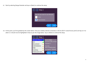vii. Start by selecting Range Extender and tap on [Next] to continue the setup.



viii. At this point, you'll be greeted by the screen below. Find your wireless internet connection in the list (Wi-Fi router/Access point) and tap on it to select it, it should now be highlighted in blue as per the image below. Tap on [Next] to continue the setup.

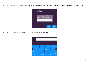ix. Enter the password for your wireless internet connection via the on screen keyboard that pops up once you tap anywhere inside the text box.



x. Once you've entered the password, tap on [Done] and then [Next] to continue.

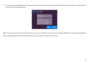xi. You should now be greeted by the screen below that shows that you've successfully connected the Almond to your Router or Access point. Tap on [Finish] to end the setup process.



*Note:* If you want your Almond to issue IP addresses, i.e. to act as a DHCP server, then choose the Wireless WAN option instead of Range Extender

option. In Range Extender mode, the Almond relies on your main router to act as the DHCP server.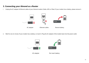### **3. Connecting your Almond as a Router**

i. Unplug the AC adapter & Ethernet cables of your Internet modem (Cable, xDSL or Fiber). If your modem has a battery, please remove it.



ii. Wait for one (1) minute. If your modem has a battery, re-insert it. Plug the AC adapter of the modem back into the power outlet.

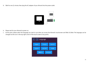iii. Wait for one (1) minute, then plug the AC adapter of your Almond into the power outlet.



- iv. Please wait for your Almond to power on.
- v. At this point, please select the language you want to use when you access the Almond's touchscreen and Web UI (*Note*: The language can be changed via the icon in the top right corner of the touch screen at any point).

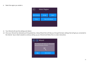vi. Select the region you reside in.



- vii. Your Almond will save the settings and reboot.
- viii. Once your Almond has rebooted you'll be greeted by a Setup Wizard that will help you through the basic settings that will get you connected to the internet. Tap on [Start wizard] to continue setting up your Almond and follow the on-screen instructions.

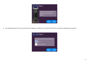

ix. By selecting Router from the touchscreen and tapping on [Next], your Almond will start the automatic configuration procedure.

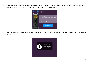x. The first thing you should do is attach the network cable from your modem/router or other type of network port that you receive your Internet connection through. *Note:* The cable should be connected to the grey port on your Almond.



xi. The Almond will try to auto-detect your connection type and as long as your connection provides all the settings via DHCP, this step should be automatic.

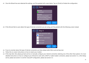xii. Once the Wizard has auto-detected the settings, you'll be greeted with screen below. Tap on [Finish] to finalize the configuration.



xiii. If the Almond fails to auto-detect the type of internet connection you are using, you'll be greeted with the following screen instead.



- xiv. If you're uncertain about the type of internet connection you have, please select [Not sure] and tap next.
- xv. Follow the on-screen instructions on how to restart your modem.
- xvi. If this step fails, then please go back and try to manually configure your internet connection selecting one of the other three options. For more detailed instructions on how to configure your Almond to work with a DHCP or Cable modem connection, please see section 3.1, a DSL Dialup service, please see section 3.2 and for manual IP configuration, please see section 3.3.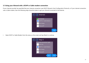#### **3.1 Using your Almond with a DCHP or Cable modem connection**

If your internet provider has specified that your internet connection uses DHCP (Dynamic Host Configuration Protocol), or if your internet connection uses a Cable modem, then the following steps should be taken to get your Almond connected to the Internet.



i. Select DHCP or Cable Modem from the menu on the screen and tap [Next] to continue.

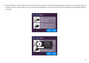ii. Please follow the on-screen instructions of your Almond for this step. It's important that you follow these instructions or your Almond might not be able to connect to your modem. Once you're done, please tap [Next] to continue and wait for the DHCP settings to be automatically detected and saved.



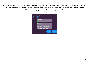iii. If you see a green square in front of the word Connected your Almond is now configured properly and is ready to be used. Please take note of the Almond wireless name (SSID) and password at this point. Tap on [Finish] to save the settings and finalize the configuration. *Note:* You can always find your wireless network SSID and password by tapping on the Wireless icon on your Almond.

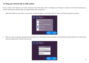#### **3.2 Using your Almond with an xDSL modem**

If you connect to the internet via an xDSL connection, then follow these steps to configure your Almond to connect to the internet through your modem. Note that the Almond does not support PPPoA ADSL connections.

i. Select DSL Dialup from the menu on the screen, a notice will appear on the screen, tap it to close it and then tap [Next] to continue.



ii. Enter your dial-up username and password provided by your ISP (Internet Service Provider), and tap [Done] and then [Finish]. Your Almond will save the settings which will take a few seconds.

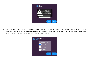

iii. Now you need to select the type of DSL connection you have. If you don't know this information, please contact your Internet Service Provider. If you're using PPPoE, your Almond will automatically detect the settings for you once you tap on [Next] after having selected PPPoE. If you're using PPTP or L2TP, you need to fill in the additional settings in step 4 below.

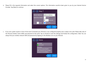iv. Please fill in the required information and select the correct options. This information would've been given to you by your Internet Service Provider. Tap [Next] to continue.



v. If you see a green square in front of the word Connected your Almond is now configured properly and is ready to be used. Please take note of the Almond wireless name (SSID) and password at this point. Tap on [Finish] to save the settings and finalize the configuration. *Note:* You can always find your wireless network SSID and password by tapping on the Wireless icon on your Almond.

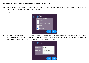#### **3.3 Connecting your Almond to the Internet using a static IP address**

If your Internet Service Provider delivers the Internet to you via a service that relies on a static IP address, for example some kind of Ethernet or Fibre based service, then select this option when you set up your Almond.

i. Select Manual IP from the on screen menu and tap [Next] to continue.



ii. Enter the IP address, Net Mask and Gateway that you were provided by your Internet Service Provider in the boxes available. As you tap a field, you'll be presented by a new screen that has an on-screen keyboard that allows you to do this. Tap on [Done] on the keyboard once you've entered the correct details and one you've filled in all three fields, tap on [Next] to continue.

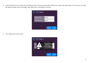iii. If your Internet Service Provider has provided you with a Primary and Secondary DNS server, please enter them here. If not, then you can leave the default settings which are Google's open DNS servers. Tap [Next] to continue.



iv. Your settings will now be saved.

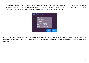v. If you see a green square in front of the word Connected your Almond is now configured properly and is ready to be used. Please take note of the Almond wireless name (SSID) and password at this point. Tap on [Finish] to save the settings and finalize the configuration. *Note:* You can always find your wireless network SSID and password by tapping on the Wireless icon on your Almond.



If you ever need to re-configure your Almond, the easiest way to do this is to tap on [Internet Settings] on the touchscreen. This will allow you to make changes to the Almond's configuration and all you to follow the steps above to alter these settings. Alternatively, you can re-run the Wizard if you prefer.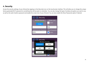# **4. Security**

Access the security settings of your Almond by tapping on the [Security] icon on the touchscreen interface. This will allow you to change the unique factory generated Wi-Fi password to something that will be easier to remember. You can also change the type of wireless encryption you want to use, as well as the web UI admin password and enable the screen lock of your Almond. You can also enable the Show Passwords option if desired.



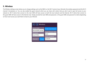# **5. Wireless**

The Wireless settings screen allows you to change settings such as the SSID (i.e. the Wi-Fi name of your Almond), the wireless password and the Wi-Fi channel it broadcasts on. You can also enable the guest network which you can share with visitors that you don't want to give full access to your network to. Wi-Fi clients that connect to the main SSID will have access to both the local network and the Internet. Wi-Fi clients that connect to the guest SSID will have access to the Internet only. Simply provide the main SSID and password, or the guest SSID and password to clients depending on how much access you want them to have to your Almond.

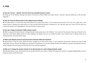#### **Q: How do I remove "\_almond" from the end of my extended network's name?**

**A:** Simply go to the Wireless settings (see section 5) and tap on Name (SSID) and simply remove "\_almond" using the [DEL] key on the onscreen keyboard.

#### **Q: How do I reset my Almond back to the original factory settings?**

A: The reset button is on the same side of the Almond as its ports (see section 1.1), just above the power jack. You may use a paper clip, or the Almond stylus to depress the reset button for a few seconds while the Almond is powered on. You may also reset your router from the web user interface by going to the "Management" tab and clicking on "factory reset".

#### **Q: How do I change my Almond's SSID (network name)?**

**A:** When using your Almond in Router or Range Extender mode, please tap on the "Wireless" icon on the LCD touchscreen. Now tap on the text in the white box under Name (SSID) and the onscreen keyboard will appear and you can change the SSID of your Almond. Tap on [Done] when you're finished and the new name will be saved.

#### **Q: What is the default username and password for Almond's Web User Interface?**

**A:** admin/admin. If this for some reason has been changed, go to the second screen on your Almond's touchscreen interface and tap on Web Administer and your Almond will display the username and password. You can also change the Web User Interface username and password here by simply tapping in the text boxes and edit the text via the onscreen keyboard.

#### **Q: Why can't I change the wireless channel of my Almond when it's used in Range Extender mode?**

A: In Range Extender mode, the Almond must be synched with the main router's channel. If the Almond's channel is changed independently, it will no longer be able to extend the range.